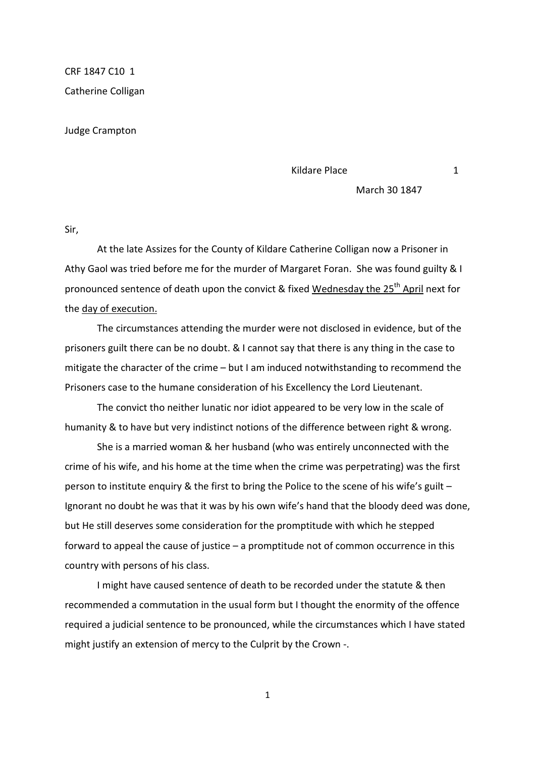CRF 1847 C10 1 Catherine Colligan

Judge Crampton

Kildare Place 1 1

March 30 1847

Sir,

 At the late Assizes for the County of Kildare Catherine Colligan now a Prisoner in Athy Gaol was tried before me for the murder of Margaret Foran. She was found guilty & I pronounced sentence of death upon the convict & fixed Wednesday the 25<sup>th</sup> April next for the day of execution.

 The circumstances attending the murder were not disclosed in evidence, but of the prisoners guilt there can be no doubt. & I cannot say that there is any thing in the case to mitigate the character of the crime – but I am induced notwithstanding to recommend the Prisoners case to the humane consideration of his Excellency the Lord Lieutenant.

 The convict tho neither lunatic nor idiot appeared to be very low in the scale of humanity & to have but very indistinct notions of the difference between right & wrong.

 She is a married woman & her husband (who was entirely unconnected with the crime of his wife, and his home at the time when the crime was perpetrating) was the first person to institute enquiry & the first to bring the Police to the scene of his wife's guilt – Ignorant no doubt he was that it was by his own wife's hand that the bloody deed was done, but He still deserves some consideration for the promptitude with which he stepped forward to appeal the cause of justice – a promptitude not of common occurrence in this country with persons of his class.

 I might have caused sentence of death to be recorded under the statute & then recommended a commutation in the usual form but I thought the enormity of the offence required a judicial sentence to be pronounced, while the circumstances which I have stated might justify an extension of mercy to the Culprit by the Crown -.

1